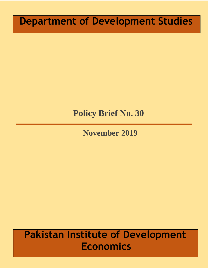# **Department of Development Studies**

## **Policy Brief No. 30**

### **November 2019**

## **Pakistan Institute of Development Economics**